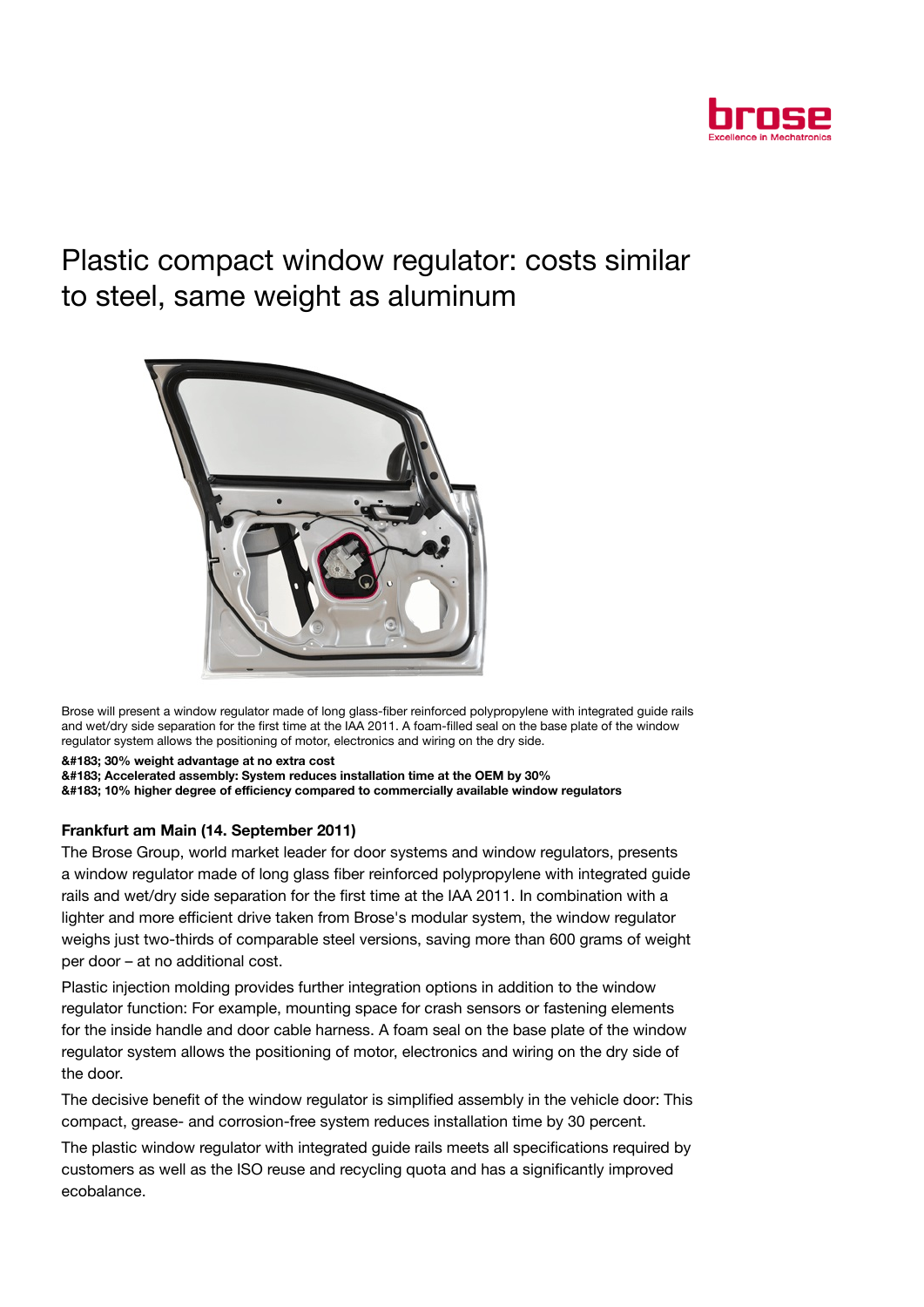

## Plastic compact window regulator: costs similar to steel, same weight as aluminum



Brose will present a window regulator made of long glass-fiber reinforced polypropylene with integrated guide rails and wet/dry side separation for the first time at the IAA 2011. A foam-filled seal on the base plate of the window regulator system allows the positioning of motor, electronics and wiring on the dry side.

· 30% weight advantage at no extra cost

· Accelerated assembly: System reduces installation time at the OEM by 30%

· 10% higher degree of efficiency compared to commercially available window regulators

## Frankfurt am Main (14. September 2011)

The Brose Group, world market leader for door systems and window regulators, presents a window regulator made of long glass fiber reinforced polypropylene with integrated guide rails and wet/dry side separation for the first time at the IAA 2011. In combination with a lighter and more efficient drive taken from Brose's modular system, the window regulator weighs just two-thirds of comparable steel versions, saving more than 600 grams of weight per door – at no additional cost.

Plastic injection molding provides further integration options in addition to the window regulator function: For example, mounting space for crash sensors or fastening elements for the inside handle and door cable harness. A foam seal on the base plate of the window regulator system allows the positioning of motor, electronics and wiring on the dry side of the door.

The decisive benefit of the window regulator is simplified assembly in the vehicle door: This compact, grease- and corrosion-free system reduces installation time by 30 percent.

The plastic window regulator with integrated guide rails meets all specifications required by customers as well as the ISO reuse and recycling quota and has a significantly improved ecobalance.